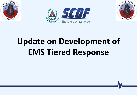





# **Update on Development of EMS Tiered Response**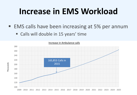### **Increase in EMS Workload**

- EMS calls have been increasing at 5% per annum
	- Calls will double in 15 years' time



**Thousands**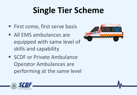### **Single Tier Scheme**

- First come, first serve basis
- All EMS ambulances are equipped with same level of skills and capability
- SCDF or Private Ambulance Operator Ambulances are performing at the same level



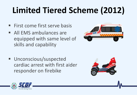# **Limited Tiered Scheme (2012)**

- $\blacksquare$  First come first serve basis
- **All EMS ambulances are** equipped with same level of skills and capability
- **Unconscious/suspected** cardiac arrest with first aider responder on firebike





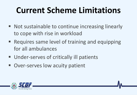### **Current Scheme Limitations**

- Not sustainable to continue increasing linearly to cope with rise in workload
- Requires same level of training and equipping for all ambulances
- **Under-serves of critically ill patients**
- Over-serves low acuity patient

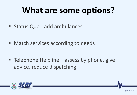### **What are some options?**

**Status Quo - add ambulances** 

■ Match services according to needs

 $\blacksquare$  Telephone Helpline – assess by phone, give advice, reduce dispatching

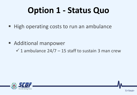### **Option 1 - Status Quo**

■ High operating costs to run an ambulance

■ Additional manpower

 $\checkmark$  1 ambulance 24/7 – 15 staff to sustain 3 man crew

7/<Total>

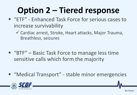# **Option 2 – Tiered response**

- "ETF" Enhanced Task Force for serious cases to increase survivability
	- Cardiac arrest, Stroke, Heart attacks, Major Trauma, Breathless, seizures
- "BTF" Basic Task Force to manage less time sensitive calls which form the majority
- "Medical Transport" stable minor emergencies

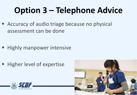# **Option 3 – Telephone Advice**

■ Accuracy of audio triage because no physical assessment can be done

- **Highly manpower intensive**
- Higher level of expertise



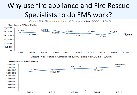### Why use fire appliance and Fire Rescue Specialists to do EMS work?

Chart B1: Total number of fire calls for 2006 - 2015



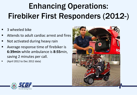### Enhancing Operations: Firebiker First Responders (2012-)

- 3 wheeled bike
- Attends to adult cardiac arrest and fires
- Not activated during heavy rain
- Average response time of firebiker is **6:39min** while ambulance is **8:55**min, saving 2 minutes per call.
- (April 2012 to Dec 2012 data)



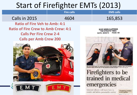### Start of Firefighter EMTs (2013)

#### **Fire calls EMS calls** Calls in 2015 165,853 **Ratio of Fire Veh to Amb: 4:1 Ratio of Fire Crew to Amb Crew: 4:1 SCDF NEWS CLIPPINGS** THE STRAITS TIMES PAGE: B2 **Calls Per Fire Crew 2-4** DATE: 20/04/13 **Calls per Amb Crew 200**  SCDF officer Norsini Kashani, 40, monitoring the vital signs of those undergoing rehabilitation. Chairs in the Resp<br>Performance Module effectively lower the body temperature and monitor vital signs. ST PHOTO: CHEW SENG KIM Firefighters to be trained in medical emergencies Selected officers will learn how to Firefighting facilities render aid before paramedics arrive in the pipeline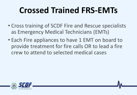### **Crossed Trained FRS-EMTs**

- Cross training of SCDF Fire and Rescue specialists as Emergency Medical Technicians (EMTs)
- Each Fire appliances to have 1 EMT on board to provide treatment for fire calls OR to lead a fire crew to attend to selected medical cases

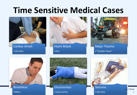### **Time Sensitive Medical Cases**



Cardiac Arrest •10 mins



Heart Attack •Hrs



Major Trauma •"Golden Hour"



• Mins



• mins to hrs

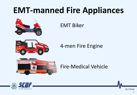### **EMT-manned Fire Appliances**



### EMT Biker



4-men Fire Engine



### Fire-Medical Vehicle



15/<Total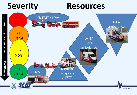### **Severity Resources**

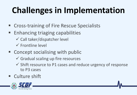# **Challenges in Implementation**

- Cross-training of Fire Rescue Specialists
- Enhancing triaging capabilities
	- $\checkmark$  Call taker/dispatcher level
	- $\checkmark$  Frontline level
- Concept socialising with public
	- $\checkmark$  Gradual scaling up fire resources
	- $\checkmark$  Shift resource to P1 cases and reduce urgency of response to P3 cases
- Culture shift

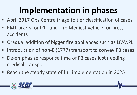### **Implementation in phases**

- April 2017 Ops Centre triage to tier classification of cases
- EMT bikers for P1+ and Fire Medical Vehicle for fires, accidents
- Gradual addition of bigger fire appliances such as LFAV, PL
- Introduction of non-E (1777) transport to convey P3 cases
- De-emphasize response time of P3 cases just needing medical transport
- Reach the steady state of full implementation in 2025